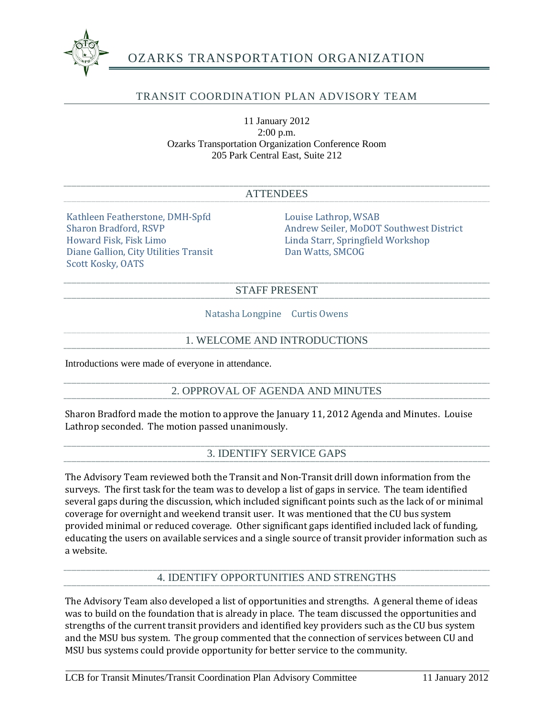

# OZARKS TRANSPORTATION ORGANIZATION

## TRANSIT COORDINATION PLAN ADVISORY TEAM

11 January 2012 2:00 p.m. Ozarks Transportation Organization Conference Room 205 Park Central East, Suite 212

#### **ATTENDEES**

Kathleen Featherstone, DMH-Spfd Louise Lathrop, WSAB Diane Gallion, City Utilities Transit Scott Kosky, OATS

Sharon Bradford, RSVP Andrew Seiler, MoDOT Southwest District<br>Howard Fisk. Fisk Limo<br>Linda Starr. Springfield Workshop Linda Starr, Springfield Workshop<br>Dan Watts, SMCOG

#### STAFF PRESENT

Natasha Longpine Curtis Owens

### 1. WELCOME AND INTRODUCTIONS

Introductions were made of everyone in attendance.

## 2. OPPROVAL OF AGENDA AND MINUTES

Sharon Bradford made the motion to approve the January 11, 2012 Agenda and Minutes. Louise Lathrop seconded. The motion passed unanimously.

### 3. IDENTIFY SERVICE GAPS

The Advisory Team reviewed both the Transit and Non-Transit drill down information from the surveys. The first task for the team was to develop a list of gaps in service. The team identified several gaps during the discussion, which included significant points such as the lack of or minimal coverage for overnight and weekend transit user. It was mentioned that the CU bus system provided minimal or reduced coverage. Other significant gaps identified included lack of funding, educating the users on available services and a single source of transit provider information such as a website.

## 4. IDENTIFY OPPORTUNITIES AND STRENGTHS

The Advisory Team also developed a list of opportunities and strengths. A general theme of ideas was to build on the foundation that is already in place. The team discussed the opportunities and strengths of the current transit providers and identified key providers such as the CU bus system and the MSU bus system. The group commented that the connection of services between CU and MSU bus systems could provide opportunity for better service to the community.